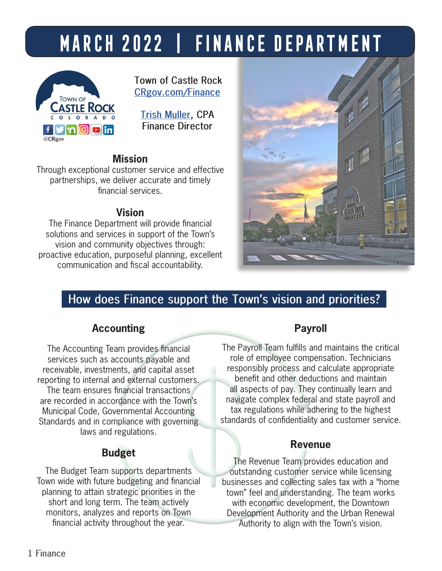# **march 2022 | Finance Department**



**Town of Castle Rock [CRgov.com/Finance](http://www.crgov.com/finance)**

**[Trish Muller,](mailto:tmuller%40crgov.com?subject=) CPA Finance Director**

## **Mission**

Through exceptional customer service and effective partnerships, we deliver accurate and timely financial services.

# **Vision**

The Finance Department will provide financial solutions and services in support of the Town's vision and community objectives through: proactive education, purposeful planning, excellent communication and fiscal accountability.



# **How does Finance support the Town's vision and priorities?**

# **Accounting**

The Accounting Team provides financial services such as accounts payable and receivable, investments, and capital asset reporting to internal and external customers. The team ensures financial transactions are recorded in accordance with the Town's Municipal Code, Governmental Accounting Standards and in compliance with governing laws and regulations.

# **Budget**

The Budget Team supports departments Town wide with future budgeting and financial planning to attain strategic priorities in the short and long term. The team actively monitors, analyzes and reports on Town financial activity throughout the year.

# **Payroll**

The Payroll Team fulfills and maintains the critical role of employee compensation. Technicians responsibly process and calculate appropriate benefit and other deductions and maintain all aspects of pay. They continually learn and navigate complex federal and state payroll and tax regulations while adhering to the highest standards of confidentiality and customer service.

# **Revenue**

The Revenue Team provides education and outstanding customer service while licensing businesses and collecting sales tax with a "home town" feel and understanding. The team works with economic development, the Downtown Development Authority and the Urban Renewal Authority to align with the Town's vision.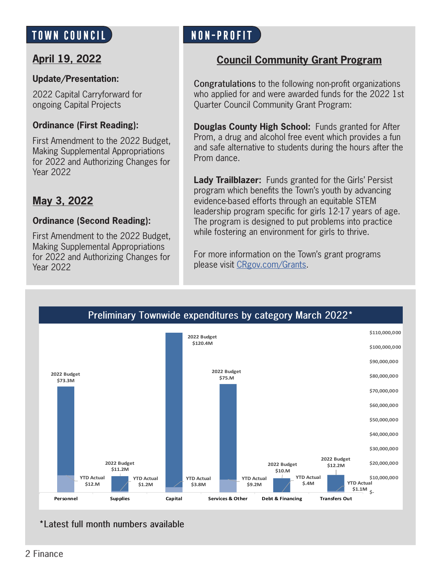# **TOWN COUNCIL Non-Profit**

# **April 19, 2022**

#### **Update/Presentation:**

2022 Capital Carryforward for ongoing Capital Projects

#### **Ordinance (First Reading):**

First Amendment to the 2022 Budget, Making Supplemental Appropriations for 2022 and Authorizing Changes for Year 2022

# **May 3, 2022**

#### **Ordinance (Second Reading):**

First Amendment to the 2022 Budget, Making Supplemental Appropriations for 2022 and Authorizing Changes for Year 2022

# **Council Community Grant Program**

**Congratulations** to the following non-profit organizations who applied for and were awarded funds for the 2022 1st Quarter Council Community Grant Program:

**Douglas County High School:** Funds granted for After Prom, a drug and alcohol free event which provides a fun and safe alternative to students during the hours after the Prom dance.

**Lady Trailblazer:** Funds granted for the Girls' Persist program which benefits the Town's youth by advancing evidence-based efforts through an equitable STEM leadership program specific for girls 12-17 years of age. The program is designed to put problems into practice while fostering an environment for girls to thrive.

For more information on the Town's grant programs please visit [CRgov.com/Grants](http://www.crgov.com/1667/Grants).



**\*Latest full month numbers available**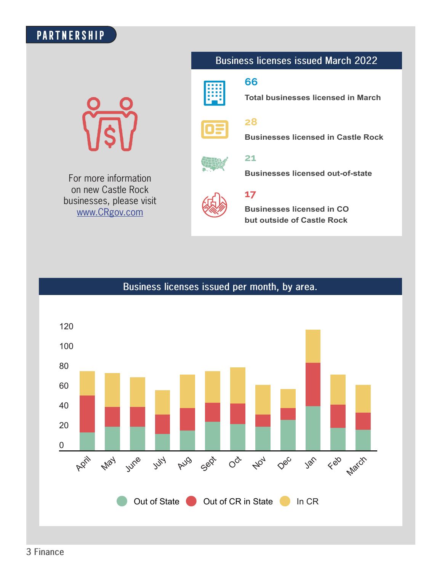# **PARTNERSHIP**

For more information on new Castle Rock businesses, please visit www.CRgov.com

### **Business licenses issued March 2022**



#### **66**

**Total businesses licensed in March**



**28**

**Businesses licensed in Castle Rock**



#### **21**

**Businesses licensed out-of-state**



#### **17**

**Businesses licensed in CO but outside of Castle Rock**

### **Business licenses issued per month, by area.**

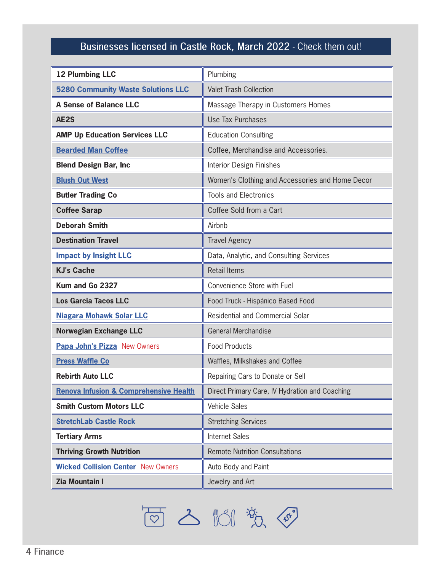# **Businesses licensed in Castle Rock, March 2022** - Check them out!

| <b>12 Plumbing LLC</b>                            | Plumbing                                        |  |
|---------------------------------------------------|-------------------------------------------------|--|
| <b>5280 Community Waste Solutions LLC</b>         | <b>Valet Trash Collection</b>                   |  |
| <b>A Sense of Balance LLC</b>                     | Massage Therapy in Customers Homes              |  |
| AE2S                                              | Use Tax Purchases                               |  |
| <b>AMP Up Education Services LLC</b>              | <b>Education Consulting</b>                     |  |
| <b>Bearded Man Coffee</b>                         | Coffee, Merchandise and Accessories.            |  |
| <b>Blend Design Bar, Inc.</b>                     | <b>Interior Design Finishes</b>                 |  |
| <b>Blush Out West</b>                             | Women's Clothing and Accessories and Home Decor |  |
| <b>Butler Trading Co</b>                          | <b>Tools and Electronics</b>                    |  |
| <b>Coffee Sarap</b>                               | Coffee Sold from a Cart                         |  |
| <b>Deborah Smith</b>                              | Airbnb                                          |  |
| <b>Destination Travel</b>                         | <b>Travel Agency</b>                            |  |
| <b>Impact by Insight LLC</b>                      | Data, Analytic, and Consulting Services         |  |
| <b>KJ's Cache</b>                                 | <b>Retail Items</b>                             |  |
| Kum and Go 2327                                   | Convenience Store with Fuel                     |  |
| <b>Los Garcia Tacos LLC</b>                       | Food Truck - Hispánico Based Food               |  |
| <b>Niagara Mohawk Solar LLC</b>                   | Residential and Commercial Solar                |  |
| <b>Norwegian Exchange LLC</b>                     | General Merchandise                             |  |
| Papa John's Pizza New Owners                      | <b>Food Products</b>                            |  |
| <b>Press Waffle Co</b>                            | Waffles, Milkshakes and Coffee                  |  |
| <b>Rebirth Auto LLC</b>                           | Repairing Cars to Donate or Sell                |  |
| <b>Renova Infusion &amp; Comprehensive Health</b> | Direct Primary Care, IV Hydration and Coaching  |  |
| <b>Smith Custom Motors LLC</b>                    | Vehicle Sales                                   |  |
| <b>StretchLab Castle Rock</b>                     | <b>Stretching Services</b>                      |  |
| <b>Tertiary Arms</b>                              | Internet Sales                                  |  |
| <b>Thriving Growth Nutrition</b>                  | <b>Remote Nutrition Consultations</b>           |  |
| <b>Wicked Collision Center New Owners</b>         | Auto Body and Paint                             |  |
| <b>Zia Mountain I</b>                             | Jewelry and Art                                 |  |